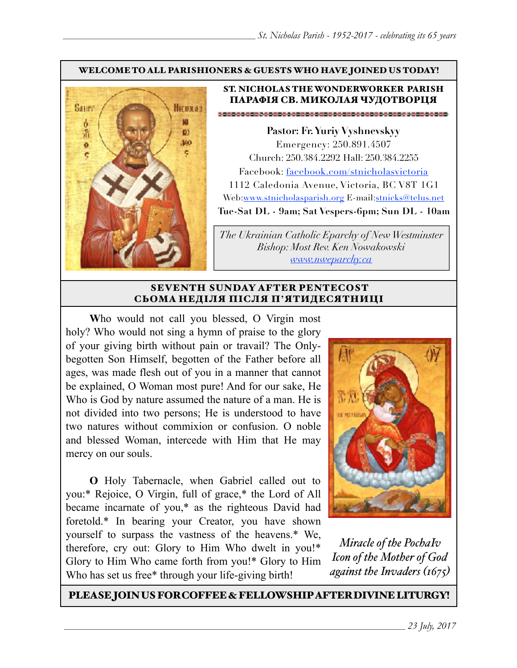#### WELCOME TO ALL PARISHIONERS & GUESTS WHO HAVE JOINED US TODAY!



#### ST. NICHOLAS THE WONDERWORKER PARISH ПАРАФІЯ СВ. МИКОЛАЯ ЧУДОТВОРЦЯ

**Pastor: Fr. Yuriy Vyshnevskyy** Emergency: 250.891.4507 Church: 250.384.2292 Hall: 250.384.2255 Facebook: facebook.com/stnicholasvictoria 1112 Caledonia Avenue, Victoria, BC V8T 1G1 Web[:www.stnicholasparish.org](http://www.stnicholasparish.org) E-mail:[stnicks@telus.net](mailto:stnicks@telus.net) **Tue-Sat DL - 9am; Sat Vespers-6pm; Sun DL - 10am**

*The Ukrainian Catholic Eparchy of New Westminster Bishop: Most Rev. Ken Nowakowski [www.nweparchy.ca](http://www.nweparchy.ca)*

#### SEVENTH SUNDAY AFTER PENTECOST СЬОМА НЕДІЛЯ ПІСЛЯ П**'**ЯТИДЕСЯТНИЦІ

**W**ho would not call you blessed, O Virgin most holy? Who would not sing a hymn of praise to the glory of your giving birth without pain or travail? The Onlybegotten Son Himself, begotten of the Father before all ages, was made flesh out of you in a manner that cannot be explained, O Woman most pure! And for our sake, He Who is God by nature assumed the nature of a man. He is not divided into two persons; He is understood to have two natures without commixion or confusion. O noble and blessed Woman, intercede with Him that He may mercy on our souls.

**O** Holy Tabernacle, when Gabriel called out to you:\* Rejoice, O Virgin, full of grace,\* the Lord of All became incarnate of you,\* as the righteous David had foretold.\* In bearing your Creator, you have shown yourself to surpass the vastness of the heavens.\* We, therefore, cry out: Glory to Him Who dwelt in you!\* Glory to Him Who came forth from you!\* Glory to Him Who has set us free\* through your life-giving birth!



*Miracle of the PochaIv Icon of the Mother of God against the Invaders (1675)*

PLEASE JOIN US FOR COFFEE & FELLOWSHIP AFTER DIVINE LITURGY!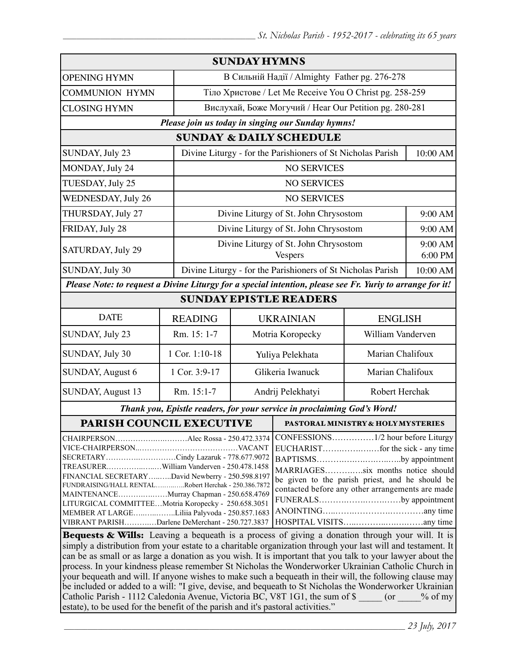|                                                                                                                                                                                                                                                                                                                                                                                                                                                                                                                                                                                          |                | <b>SUNDAY HYMNS</b>                                         |                                                         |                                                             |                    |  |
|------------------------------------------------------------------------------------------------------------------------------------------------------------------------------------------------------------------------------------------------------------------------------------------------------------------------------------------------------------------------------------------------------------------------------------------------------------------------------------------------------------------------------------------------------------------------------------------|----------------|-------------------------------------------------------------|---------------------------------------------------------|-------------------------------------------------------------|--------------------|--|
| <b>OPENING HYMN</b>                                                                                                                                                                                                                                                                                                                                                                                                                                                                                                                                                                      |                |                                                             | В Сильній Надії / Almighty Father pg. 276-278           |                                                             |                    |  |
| <b>COMMUNION HYMN</b>                                                                                                                                                                                                                                                                                                                                                                                                                                                                                                                                                                    |                |                                                             | Тіло Христове / Let Me Receive You O Christ pg. 258-259 |                                                             |                    |  |
| <b>CLOSING HYMN</b>                                                                                                                                                                                                                                                                                                                                                                                                                                                                                                                                                                      |                |                                                             | Вислухай, Боже Могучий / Hear Our Petition pg. 280-281  |                                                             |                    |  |
| Please join us today in singing our Sunday hymns!                                                                                                                                                                                                                                                                                                                                                                                                                                                                                                                                        |                |                                                             |                                                         |                                                             |                    |  |
| <b>SUNDAY &amp; DAILY SCHEDULE</b>                                                                                                                                                                                                                                                                                                                                                                                                                                                                                                                                                       |                |                                                             |                                                         |                                                             |                    |  |
| SUNDAY, July 23                                                                                                                                                                                                                                                                                                                                                                                                                                                                                                                                                                          |                | Divine Liturgy - for the Parishioners of St Nicholas Parish |                                                         |                                                             | 10:00 AM           |  |
| MONDAY, July 24                                                                                                                                                                                                                                                                                                                                                                                                                                                                                                                                                                          |                |                                                             | <b>NO SERVICES</b>                                      |                                                             |                    |  |
| TUESDAY, July 25                                                                                                                                                                                                                                                                                                                                                                                                                                                                                                                                                                         |                | <b>NO SERVICES</b>                                          |                                                         |                                                             |                    |  |
| WEDNESDAY, July 26                                                                                                                                                                                                                                                                                                                                                                                                                                                                                                                                                                       |                | <b>NO SERVICES</b>                                          |                                                         |                                                             |                    |  |
| THURSDAY, July 27                                                                                                                                                                                                                                                                                                                                                                                                                                                                                                                                                                        |                |                                                             |                                                         | Divine Liturgy of St. John Chrysostom                       |                    |  |
| FRIDAY, July 28                                                                                                                                                                                                                                                                                                                                                                                                                                                                                                                                                                          |                |                                                             |                                                         | Divine Liturgy of St. John Chrysostom                       |                    |  |
| SATURDAY, July 29                                                                                                                                                                                                                                                                                                                                                                                                                                                                                                                                                                        |                |                                                             | Divine Liturgy of St. John Chrysostom<br>Vespers        |                                                             | 9:00 AM<br>6:00 PM |  |
| SUNDAY, July 30                                                                                                                                                                                                                                                                                                                                                                                                                                                                                                                                                                          |                |                                                             |                                                         | Divine Liturgy - for the Parishioners of St Nicholas Parish |                    |  |
| Please Note: to request a Divine Liturgy for a special intention, please see Fr. Yuriy to arrange for it!                                                                                                                                                                                                                                                                                                                                                                                                                                                                                |                |                                                             |                                                         |                                                             |                    |  |
| <b>SUNDAY EPISTLE READERS</b>                                                                                                                                                                                                                                                                                                                                                                                                                                                                                                                                                            |                |                                                             |                                                         |                                                             |                    |  |
| <b>DATE</b>                                                                                                                                                                                                                                                                                                                                                                                                                                                                                                                                                                              | <b>READING</b> | <b>UKRAINIAN</b>                                            |                                                         |                                                             | <b>ENGLISH</b>     |  |
| SUNDAY, July 23                                                                                                                                                                                                                                                                                                                                                                                                                                                                                                                                                                          | Rm. 15: 1-7    | Motria Koropecky                                            |                                                         | William Vanderven                                           |                    |  |
| SUNDAY, July 30                                                                                                                                                                                                                                                                                                                                                                                                                                                                                                                                                                          | 1 Cor. 1:10-18 | Yuliya Pelekhata                                            |                                                         | Marian Chalifoux                                            |                    |  |
| <b>SUNDAY, August 6</b>                                                                                                                                                                                                                                                                                                                                                                                                                                                                                                                                                                  | 1 Cor. 3:9-17  | Glikeria Iwanuck                                            |                                                         | Marian Chalifoux                                            |                    |  |
| <b>SUNDAY, August 13</b>                                                                                                                                                                                                                                                                                                                                                                                                                                                                                                                                                                 | Rm. 15:1-7     | Andrij Pelekhatyi                                           |                                                         | Robert Herchak                                              |                    |  |
| Thank you, Epistle readers, for your service in proclaiming God's Word!                                                                                                                                                                                                                                                                                                                                                                                                                                                                                                                  |                |                                                             |                                                         |                                                             |                    |  |
| PARISH COUNCIL EXECUTIVE                                                                                                                                                                                                                                                                                                                                                                                                                                                                                                                                                                 |                |                                                             | PASTORAL MINISTRY & HOLY MYSTERIES                      |                                                             |                    |  |
| CONFESSIONS1/2 hour before Liturgy<br>SECRETARYCindy Lazaruk - 778.677.9072<br>BAPTISMSby appointment<br>TREASURERWilliam Vanderven - 250.478.1458<br>MARRIAGESsix months notice should<br>FINANCIAL SECRETARYDavid Newberry - 250.598.8197<br>be given to the parish priest, and he should be<br>FUNDRAISING/HALL RENTALRobert Herchak - 250.386.7872<br>contacted before any other arrangements are made<br>MAINTENANCEMurray Chapman - 250.658.4769<br>FUNERALSby appointment<br>LITURGICAL COMMITTEEMotria Koropecky - 250.658.3051<br>MEMBER AT LARGELiliia Palyvoda - 250.857.1683 |                |                                                             |                                                         |                                                             |                    |  |
| VIBRANT PARISHDarlene DeMerchant - 250.727.3837                                                                                                                                                                                                                                                                                                                                                                                                                                                                                                                                          |                |                                                             |                                                         |                                                             |                    |  |
| Bequests & Wills: Leaving a bequeath is a process of giving a donation through your will. It is                                                                                                                                                                                                                                                                                                                                                                                                                                                                                          |                |                                                             |                                                         |                                                             |                    |  |

simply a distribution from your estate to a charitable organization through your last will and testament. It can be as small or as large a donation as you wish. It is important that you talk to your lawyer about the process. In your kindness please remember St Nicholas the Wonderworker Ukrainian Catholic Church in your bequeath and will. If anyone wishes to make such a bequeath in their will, the following clause may be included or added to a will: "I give, devise, and bequeath to St Nicholas the Wonderworker Ukrainian Catholic Parish - 1112 Caledonia Avenue, Victoria BC, V8T 1G1, the sum of \$  $\qquad \qquad$  (or  $\qquad \qquad$  % of my estate), to be used for the benefit of the parish and it's pastoral activities."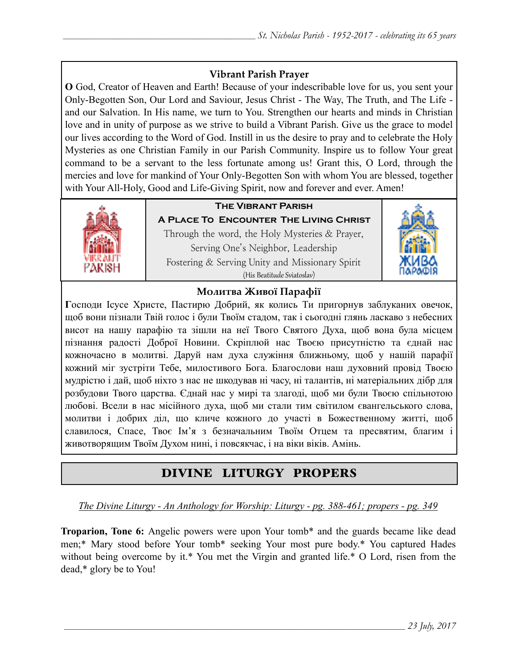### **Vibrant Parish Prayer**

**O** God, Creator of Heaven and Earth! Because of your indescribable love for us, you sent your Only-Begotten Son, Our Lord and Saviour, Jesus Christ - The Way, The Truth, and The Life and our Salvation. In His name, we turn to You. Strengthen our hearts and minds in Christian love and in unity of purpose as we strive to build a Vibrant Parish. Give us the grace to model our lives according to the Word of God. Instill in us the desire to pray and to celebrate the Holy Mysteries as one Christian Family in our Parish Community. Inspire us to follow Your great command to be a servant to the less fortunate among us! Grant this, O Lord, through the mercies and love for mankind of Your Only-Begotten Son with whom You are blessed, together with Your All-Holy, Good and Life-Giving Spirit, now and forever and ever. Amen!



### **The Vibrant Parish**

**A Place To Encounter The Living Christ** Through the word, the Holy Mysteries & Prayer, Serving One's Neighbor, Leadership Fostering & Serving Unity and Missionary Spirit (His Beatitude Sviatoslav)



#### **Молитва Живої Парафії**

**Г**осподи Ісусе Христе, Пастирю Добрий, як колись Ти пригорнув заблуканих овечок, щоб вони пізнали Твій голос і були Твоїм стадом, так і сьогодні глянь ласкаво з небесних висот на нашу парафію та зішли на неї Твого Святого Духа, щоб вона була місцем пізнання радості Доброї Новини. Скріплюй нас Твоєю присутністю та єднай нас кожночасно в молитві. Даруй нам духа служіння ближньому, щоб у нашій парафії кожний міг зустріти Тебе, милостивого Бога. Благослови наш духовний провід Твоєю мудрістю і дай, щоб ніхто з нас не шкодував ні часу, ні талантів, ні матеріальних дібр для розбудови Твого царства. Єднай нас у мирі та злагоді, щоб ми були Твоєю спільнотою любові. Всели в нас місійного духа, щоб ми стали тим світилом євангельського слова, молитви і добрих діл, що кличе кожного до участі в Божественному житті, щоб славилося, Спасе, Твоє Ім'я з безначальним Твоїм Отцем та пресвятим, благим і животворящим Твоїм Духом нині, і повсякчас, і на віки віків. Амінь.

# DIVINE LITURGY PROPERS

*The Divine Liturgy - An Anthology for Worship: Liturgy - pg. 388-461; propers - pg. 349* 

**Troparion, Tone 6:** Angelic powers were upon Your tomb\* and the guards became like dead men;\* Mary stood before Your tomb\* seeking Your most pure body.\* You captured Hades without being overcome by it.\* You met the Virgin and granted life.\* O Lord, risen from the dead,\* glory be to You!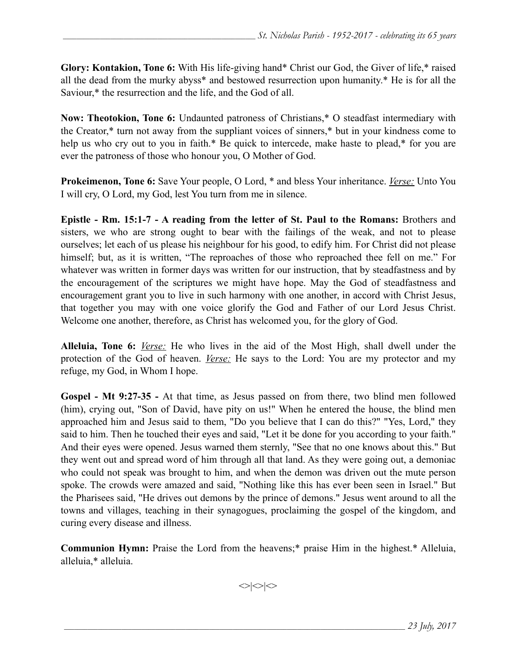**Glory: Kontakion, Tone 6:** With His life-giving hand\* Christ our God, the Giver of life,\* raised all the dead from the murky abyss\* and bestowed resurrection upon humanity.\* He is for all the Saviour,\* the resurrection and the life, and the God of all.

**Now: Theotokion, Tone 6:** Undaunted patroness of Christians,\* O steadfast intermediary with the Creator,\* turn not away from the suppliant voices of sinners,\* but in your kindness come to help us who cry out to you in faith.\* Be quick to intercede, make haste to plead,\* for you are ever the patroness of those who honour you, O Mother of God.

**Prokeimenon, Tone 6:** Save Your people, O Lord, \* and bless Your inheritance. *Verse:* Unto You I will cry, O Lord, my God, lest You turn from me in silence.

**Epistle - Rm. 15:1-7 - A reading from the letter of St. Paul to the Romans:** Brothers and sisters, we who are strong ought to bear with the failings of the weak, and not to please ourselves; let each of us please his neighbour for his good, to edify him. For Christ did not please himself; but, as it is written, "The reproaches of those who reproached thee fell on me." For whatever was written in former days was written for our instruction, that by steadfastness and by the encouragement of the scriptures we might have hope. May the God of steadfastness and encouragement grant you to live in such harmony with one another, in accord with Christ Jesus, that together you may with one voice glorify the God and Father of our Lord Jesus Christ. Welcome one another, therefore, as Christ has welcomed you, for the glory of God.

**Alleluia, Tone 6:** *Verse:* He who lives in the aid of the Most High, shall dwell under the protection of the God of heaven. *Verse:* He says to the Lord: You are my protector and my refuge, my God, in Whom I hope.

**Gospel - Mt 9:27-35 -** At that time, as Jesus passed on from there, two blind men followed (him), crying out, "Son of David, have pity on us!" When he entered the house, the blind men approached him and Jesus said to them, "Do you believe that I can do this?" "Yes, Lord," they said to him. Then he touched their eyes and said, "Let it be done for you according to your faith." And their eyes were opened. Jesus warned them sternly, "See that no one knows about this." But they went out and spread word of him through all that land. As they were going out, a demoniac who could not speak was brought to him, and when the demon was driven out the mute person spoke. The crowds were amazed and said, "Nothing like this has ever been seen in Israel." But the Pharisees said, "He drives out demons by the prince of demons." Jesus went around to all the towns and villages, teaching in their synagogues, proclaiming the gospel of the kingdom, and curing every disease and illness.

**Communion Hymn:** Praise the Lord from the heavens;\* praise Him in the highest.\* Alleluia, alleluia,\* alleluia.

 $\langle \rangle \langle \rangle$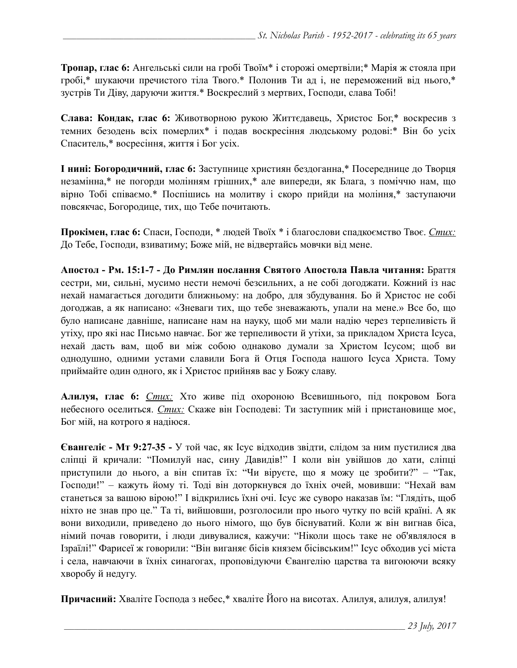**Тропар, глас 6:** Ангельські сили на гробі Твоїм\* і сторожі омертвіли;\* Марія ж стояла при гробі,\* шукаючи пречистого тіла Твого.\* Полонив Ти ад і, не переможений від нього,\* зустрів Ти Діву, даруючи життя.\* Воскреслий з мертвих, Господи, слава Тобі!

**Слава: Кондак, глас 6:** Животворною рукою Життєдавець, Христос Бог,\* воскресив з темних безодень всіх померлих\* і подав воскресіння людському родові:\* Він бо усіх Спаситель,\* восресіння, життя і Бог усіх.

**І нині: Богородичний, глас 6:** Заступнице християн бездоганна,\* Посереднице до Творця незамінна,\* не погорди молінням грішних,\* але випереди, як Блага, з поміччю нам, що вірно Тобі співаємо.\* Поспішись на молитву і скоро прийди на моління,\* заступаючи повсякчас, Богородице, тих, що Тебе почитають.

**Прокімен, глас 6:** Спаси, Господи, \* людей Твоїх \* і благослови спадкоємство Твоє. *Стих:* До Тебе, Господи, взиватиму; Боже мій, не відвертайсь мовчки від мене.

**Апостол - Рм. 15:1-7 - До Римлян послання Святого Апостола Павла читання:** Браття сестри, ми, сильні, мусимо нести немочі безсильних, а не собі догоджати. Кожний із нас нехай намагається догодити ближньому: на добро, для збудування. Бо й Христос не собі догоджав, а як написано: «Зневаги тих, що тебе зневажають, упали на мене.» Все бо, що було написане давніше, написане нам на науку, щоб ми мали надію через терпеливість й утіху, про які нас Письмо навчає. Бог же терпеливости й утіхи, за прикладом Христа Ісуса, нехай дасть вам, щоб ви між собою однаково думали за Христом Ісусом; щоб ви однодушно, одними устами славили Бога й Отця Господа нашого Ісуса Христа. Тому приймайте один одного, як і Христос прийняв вас у Божу славу.

**Алилуя, глас 6:** *Стих:* Хто живе під охороною Всевишнього, під покровом Бога небесного оселиться. *Стих:* Скаже він Господеві: Ти заступник мій і пристановище моє, Бог мій, на котрого я надіюся.

**Євангеліє - Мт 9:27-35 -** У той час, як Ісус відходив звідти, слідом за ним пустилися два сліпці й кричали: "Помилуй нас, сину Давидів!" І коли він увійшов до хати, сліпці приступили до нього, а він спитав їх: "Чи віруєте, що я можу це зробити?" – "Так, Господи!" – кажуть йому ті. Тоді він доторкнувся до їхніх очей, мовивши: "Нехай вам станеться за вашою вірою!" І відкрились їхні очі. Ісус же суворо наказав їм: "Глядіть, щоб ніхто не знав про це." Та ті, вийшовши, розголосили про нього чутку по всій країні. А як вони виходили, приведено до нього німого, що був біснуватий. Коли ж він вигнав біса, німий почав говорити, і люди дивувалися, кажучи: "Ніколи щось таке не об'являлося в Ізраїлі!" Фарисеї ж говорили: "Він виганяє бісів князем бісівським!" Ісус обходив усі міста і села, навчаючи в їхніх синагогах, проповідуючи Євангелію царства та вигоюючи всяку хворобу й недугу.

**Причасний:** Хваліте Господа з небес,\* хваліте Його на висотах. Алилуя, алилуя, алилуя!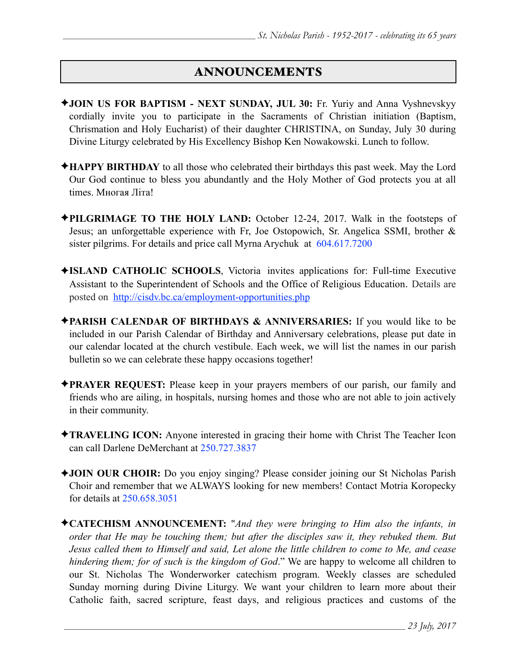## ANNOUNCEMENTS

- ✦**JOIN US FOR BAPTISM NEXT SUNDAY, JUL 30:** Fr. Yuriy and Anna Vyshnevskyy cordially invite you to participate in the Sacraments of Christian initiation (Baptism, Chrismation and Holy Eucharist) of their daughter CHRISTINA, on Sunday, July 30 during Divine Liturgy celebrated by His Excellency Bishop Ken Nowakowski. Lunch to follow.
- ✦**HAPPY BIRTHDAY** to all those who celebrated their birthdays this past week. May the Lord Our God continue to bless you abundantly and the Holy Mother of God protects you at all times. Многая Літа!
- ✦**PILGRIMAGE TO THE HOLY LAND:** October 12-24, 2017. Walk in the footsteps of Jesus; an unforgettable experience with Fr, Joe Ostopowich, Sr. Angelica SSMI, brother & sister pilgrims. For details and price call Myrna Arychuk at 604.617.7200
- ✦**ISLAND CATHOLIC SCHOOLS**, Victoria invites applications for: Full-time Executive Assistant to the Superintendent of Schools and the Office of Religious Education. Details are posted on <http://cisdv.bc.ca/employment-opportunities.php>
- ✦**PARISH CALENDAR OF BIRTHDAYS & ANNIVERSARIES:** If you would like to be included in our Parish Calendar of Birthday and Anniversary celebrations, please put date in our calendar located at the church vestibule. Each week, we will list the names in our parish bulletin so we can celebrate these happy occasions together!
- ✦**PRAYER REQUEST:** Please keep in your prayers members of our parish, our family and friends who are ailing, in hospitals, nursing homes and those who are not able to join actively in their community.
- ✦**TRAVELING ICON:** Anyone interested in gracing their home with Christ The Teacher Icon can call Darlene DeMerchant at 250.727.3837
- ✦**JOIN OUR CHOIR:** Do you enjoy singing? Please consider joining our St Nicholas Parish Choir and remember that we ALWAYS looking for new members! Contact Motria Koropecky for details at 250.658.3051
- ✦**CATECHISM ANNOUNCEMENT:** "*And they were bringing to Him also the infants, in order that He may be touching them; but after the disciples saw it, they rebuked them. But Jesus called them to Himself and said, Let alone the little children to come to Me, and cease hindering them; for of such is the kingdom of God*." We are happy to welcome all children to our St. Nicholas The Wonderworker catechism program. Weekly classes are scheduled Sunday morning during Divine Liturgy. We want your children to learn more about their Catholic faith, sacred scripture, feast days, and religious practices and customs of the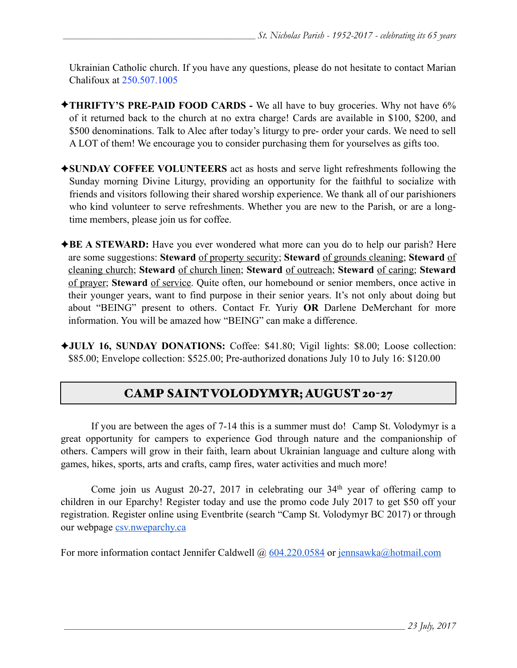Ukrainian Catholic church. If you have any questions, please do not hesitate to contact Marian Chalifoux at 250.507.1005

- ✦**THRIFTY'S PRE-PAID FOOD CARDS** We all have to buy groceries. Why not have 6% of it returned back to the church at no extra charge! Cards are available in \$100, \$200, and \$500 denominations. Talk to Alec after today's liturgy to pre- order your cards. We need to sell A LOT of them! We encourage you to consider purchasing them for yourselves as gifts too.
- ✦**SUNDAY COFFEE VOLUNTEERS** act as hosts and serve light refreshments following the Sunday morning Divine Liturgy, providing an opportunity for the faithful to socialize with friends and visitors following their shared worship experience. We thank all of our parishioners who kind volunteer to serve refreshments. Whether you are new to the Parish, or are a longtime members, please join us for coffee.
- ✦**BE A STEWARD:** Have you ever wondered what more can you do to help our parish? Here are some suggestions: **Steward** of property security; **Steward** of grounds cleaning; **Steward** of cleaning church; **Steward** of church linen; **Steward** of outreach; **Steward** of caring; **Steward** of prayer; **Steward** of service. Quite often, our homebound or senior members, once active in their younger years, want to find purpose in their senior years. It's not only about doing but about "BEING" present to others. Contact Fr. Yuriy **OR** Darlene DeMerchant for more information. You will be amazed how "BEING" can make a difference.
- ✦**JULY 16, SUNDAY DONATIONS:** Coffee: \$41.80; Vigil lights: \$8.00; Loose collection: \$85.00; Envelope collection: \$525.00; Pre-authorized donations July 10 to July 16: \$120.00

# CAMP SAINT VOLODYMYR; AUGUST 20-27

 If you are between the ages of 7-14 this is a summer must do! Camp St. Volodymyr is a great opportunity for campers to experience God through nature and the companionship of others. Campers will grow in their faith, learn about Ukrainian language and culture along with games, hikes, sports, arts and crafts, camp fires, water activities and much more!

Come join us August 20-27, 2017 in celebrating our 34<sup>th</sup> year of offering camp to children in our Eparchy! Register today and use the promo code July 2017 to get \$50 off your registration. Register online using Eventbrite (search "Camp St. Volodymyr BC 2017) or through our webpage [csv.nweparchy.ca](http://csv.nweparchy.ca/)

For more information contact Jennifer Caldwell @ 604.220.0584 or [jennsawka@hotmail.com](mailto:jennsawka@hotmail.com)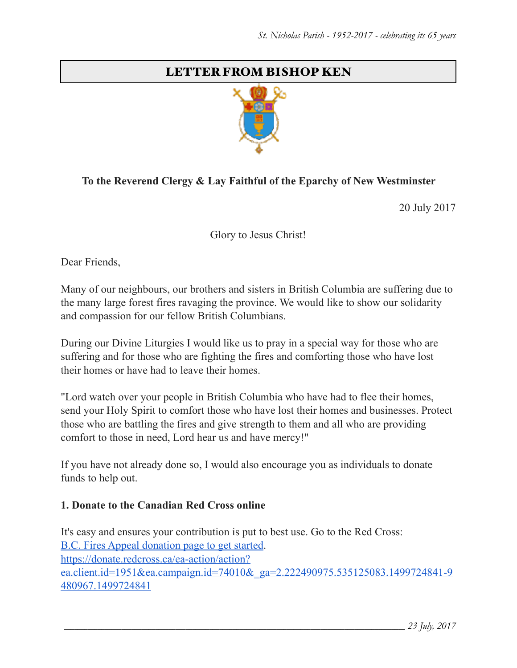# LETTER FROM BISHOP KEN



### **To the Reverend Clergy & Lay Faithful of the Eparchy of New Westminster**

20 July 2017

Glory to Jesus Christ!

Dear Friends,

Many of our neighbours, our brothers and sisters in British Columbia are suffering due to the many large forest fires ravaging the province. We would like to show our solidarity and compassion for our fellow British Columbians.

During our Divine Liturgies I would like us to pray in a special way for those who are suffering and for those who are fighting the fires and comforting those who have lost their homes or have had to leave their homes.

"Lord watch over your people in British Columbia who have had to flee their homes, send your Holy Spirit to comfort those who have lost their homes and businesses. Protect those who are battling the fires and give strength to them and all who are providing comfort to those in need, Lord hear us and have mercy!"

If you have not already done so, I would also encourage you as individuals to donate funds to help out.

#### **1. Donate to the Canadian Red Cross online**

It's easy and ensures your contribution is put to best use. Go to the Red Cross: [B.C. Fires Appeal donation page to get started](https://donate.redcross.ca/ea-action/action?ea.client.id=1951&ea.campaign.id=74010&_ga=2.222490975.535125083.1499724841-9480967.1499724841). [https://donate.redcross.ca/ea-action/action?](https://donate.redcross.ca/ea-action/action?ea.client.id=1951&ea.campaign.id=74010&_ga=2.222490975.535125083.1499724841-9480967.1499724841) [ea.client.id=1951&ea.campaign.id=74010&\\_ga=2.222490975.535125083.1499724841-9](https://donate.redcross.ca/ea-action/action?ea.client.id=1951&ea.campaign.id=74010&_ga=2.222490975.535125083.1499724841-9480967.1499724841) [480967.1499724841](https://donate.redcross.ca/ea-action/action?ea.client.id=1951&ea.campaign.id=74010&_ga=2.222490975.535125083.1499724841-9480967.1499724841)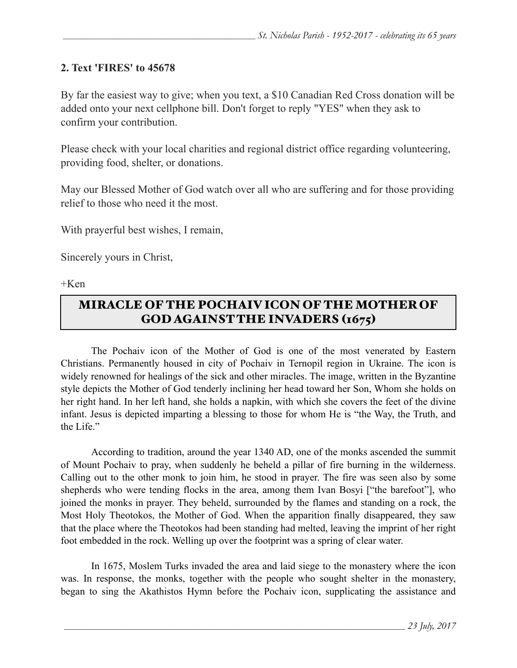#### **2. Text 'FIRES' to 45678**

By far the easiest way to give; when you text, a \$10 Canadian Red Cross donation will be added onto your next cellphone bill. Don't forget to reply "YES" when they ask to confirm your contribution.

Please check with your local charities and regional district office regarding volunteering, providing food, shelter, or donations.

May our Blessed Mother of God watch over all who are suffering and for those providing relief to those who need it the most.

With prayerful best wishes, I remain,

Sincerely yours in Christ,

 $+$ Ken

# MIRACLE OF THE POCHAIV ICON OF THE MOTHER OF GOD AGAINST THE INVADERS (1675)

 The Pochaiv icon of the Mother of God is one of the most venerated by Eastern Christians. Permanently housed in city of Pochaiv in Ternopil region in Ukraine. The icon is widely renowned for healings of the sick and other miracles. The image, written in the Byzantine style depicts the Mother of God tenderly inclining her head toward her Son, Whom she holds on her right hand. In her left hand, she holds a napkin, with which she covers the feet of the divine infant. Jesus is depicted imparting a blessing to those for whom He is "the Way, the Truth, and the Life."

According to tradition, around the year 1340 AD, one of the monks ascended the summit of Mount Pochaiv to pray, when suddenly he beheld a pillar of fire burning in the wilderness. Calling out to the other monk to join him, he stood in prayer. The fire was seen also by some shepherds who were tending flocks in the area, among them Ivan Bosyi ["the barefoot"], who joined the monks in prayer. They beheld, surrounded by the flames and standing on a rock, the Most Holy Theotokos, the Mother of God. When the apparition finally disappeared, they saw that the place where the Theotokos had been standing had melted, leaving the imprint of her right foot embedded in the rock. Welling up over the footprint was a spring of clear water.

In 1675, Moslem Turks invaded the area and laid siege to the monastery where the icon was. In response, the monks, together with the people who sought shelter in the monastery, began to sing the Akathistos Hymn before the Pochaiv icon, supplicating the assistance and